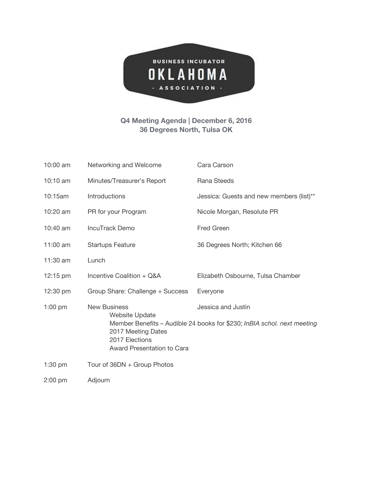

## **Q4 Meeting Agenda | December 6, 2016 36 Degrees North, Tulsa OK**

| 10:00 am           | Networking and Welcome                                                    | Cara Carson                                                             |
|--------------------|---------------------------------------------------------------------------|-------------------------------------------------------------------------|
| 10:10 am           | Minutes/Treasurer's Report                                                | Rana Steeds                                                             |
| 10:15am            | Introductions                                                             | Jessica: Guests and new members (list)**                                |
| 10:20 am           | PR for your Program                                                       | Nicole Morgan, Resolute PR                                              |
| 10:40 am           | <b>IncuTrack Demo</b>                                                     | <b>Fred Green</b>                                                       |
| 11:00 $am$         | <b>Startups Feature</b>                                                   | 36 Degrees North; Kitchen 66                                            |
| 11:30 am           | Lunch                                                                     |                                                                         |
| $12:15 \text{ pm}$ | Incentive Coalition + Q&A                                                 | Elizabeth Osbourne, Tulsa Chamber                                       |
| 12:30 pm           | Group Share: Challenge + Success                                          | Everyone                                                                |
| $1:00$ pm          | <b>New Business</b><br>Website Update                                     | Jessica and Justin                                                      |
|                    | 2017 Meeting Dates<br>2017 Elections<br><b>Award Presentation to Cara</b> | Member Benefits - Audible 24 books for \$230; InBIA schol. next meeting |
| $1:30$ pm          | Tour of 36DN + Group Photos                                               |                                                                         |
| $2:00$ pm          | Adjourn                                                                   |                                                                         |